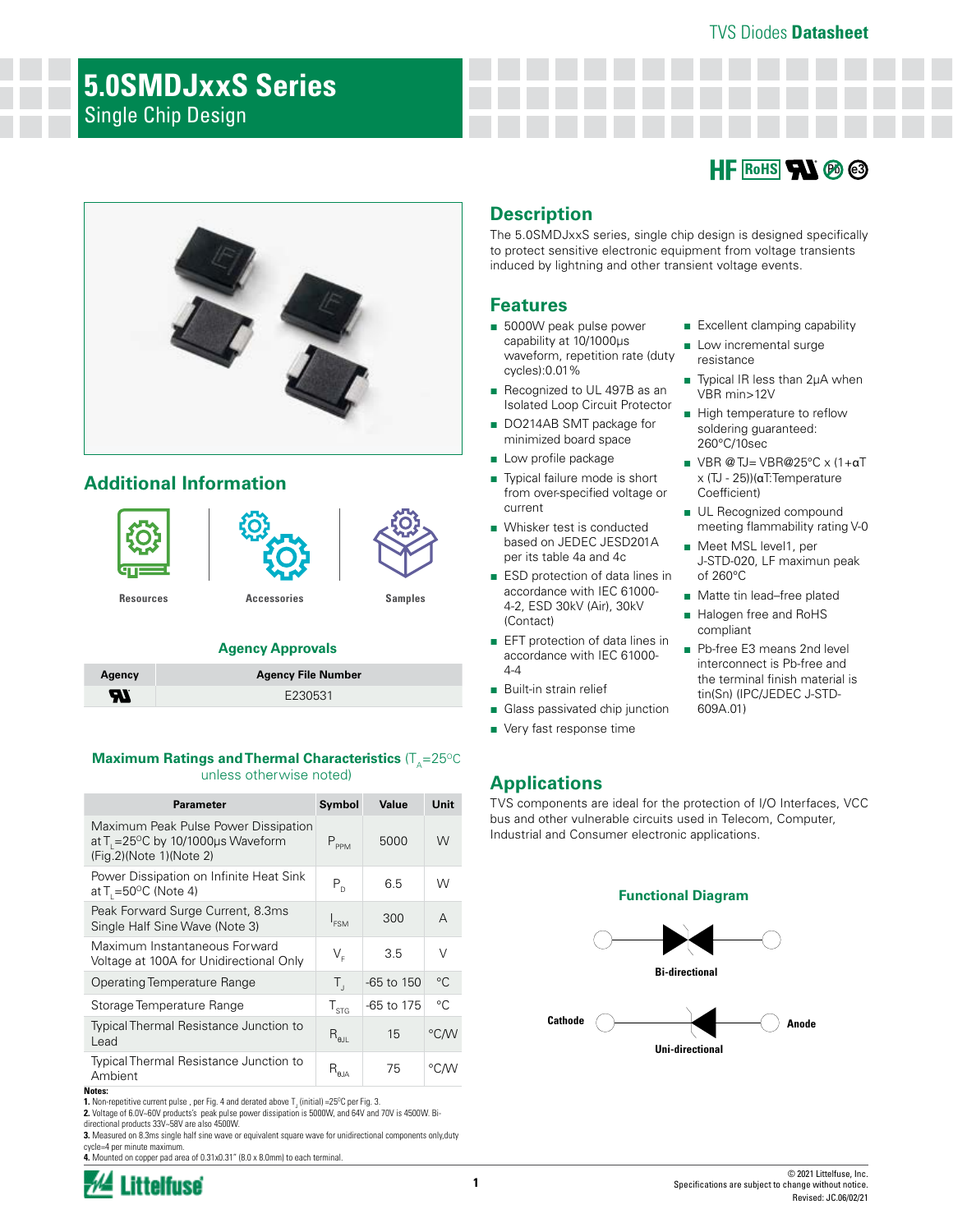#### TVS Diodes **Datasheet**

# **5.0SMDJxxS Series** Single Chip Design





# **Additional Information**



#### **Agency Approvals**

| Agency | <b>Agency File Number</b> |
|--------|---------------------------|
| Ыï     | F230531                   |

#### **Maximum Ratings and Thermal Characteristics (T<sub>A</sub>=25°C)** unless otherwise noted)

| <b>Parameter</b>                                                                                                                     | Symbol                    | Value        | Unit        |
|--------------------------------------------------------------------------------------------------------------------------------------|---------------------------|--------------|-------------|
| Maximum Peak Pulse Power Dissipation<br>at T <sub>1</sub> = 25 <sup>o</sup> C by 10/1000 $\mu$ s Waveform<br>(Fig.2)(Note 1)(Note 2) | $P_{PPM}$                 | 5000         | W           |
| Power Dissipation on Infinite Heat Sink<br>at $T = 50^{\circ}$ C (Note 4)                                                            | $P_{D}$                   | 6.5          | W           |
| Peak Forward Surge Current, 8.3ms<br>Single Half Sine Wave (Note 3)                                                                  | I <sub>ESM</sub>          | 300          | A           |
| Maximum Instantaneous Forward<br>Voltage at 100A for Unidirectional Only                                                             | $V_{\varepsilon}$         | 3.5          | V           |
| <b>Operating Temperature Range</b>                                                                                                   | Т,                        | $-65$ to 150 | $^{\circ}C$ |
| Storage Temperature Range                                                                                                            | $T_{\rm STG}$             | -65 to 175   | °C.         |
| <b>Typical Thermal Resistance Junction to</b><br>Lead                                                                                | $R_{\text{gJL}}$          | 15           | °C/W        |
| Typical Thermal Resistance Junction to<br>Ambient<br>Notes:                                                                          | $\mathsf{R}_{\text{gja}}$ | 75           | °C∕W        |

**1.** Non-repetitive current pulse , per Fig. 4 and derated above T<sub>J</sub> (initial) =25<sup>o</sup>C per Fig. 3.

**2.** Voltage of 6.0V~60V products's peak pulse power dissipation is 5000W, and 64V and 70V is 4500W. Bidirectional products 33V~58V are also 4500W.

**3.** Measured on 8.3ms single half sine wave or equivalent square wave for unidirectional components only,duty cycle=4 per minute maximum.

**4.** Mounted on copper pad area of 0.31x0.31" (8.0 x 8.0mm) to each terminal.



## **Description**

The 5.0SMDJxxS series, single chip design is designed specifically to protect sensitive electronic equipment from voltage transients induced by lightning and other transient voltage events.

#### **Features**

- 5000W peak pulse power capability at 10/1000μs waveform, repetition rate (duty cycles):0.01%
- Recognized to UL 497B as an Isolated Loop Circuit Protector
- DO214AB SMT package for minimized board space
- Low profile package
- Typical failure mode is short from over-specified voltage or current
- Whisker test is conducted based on JEDEC JESD201A per its table 4a and 4c
- ESD protection of data lines in accordance with IEC 61000- 4-2, ESD 30kV (Air), 30kV (Contact)
- EFT protection of data lines in accordance with IEC 61000- 4-4
- Built-in strain relief
- Glass passivated chip junction
- Very fast response time

#### ■ Excellent clamping capability

- Low incremental surge resistance
- Typical IR less than 2µA when VBR min>12V
- High temperature to reflow soldering guaranteed: 260°C/10sec
- VBR @ TJ= VBR@25°C x (1+αT x (TJ - 25))(αT:Temperature Coefficient)
- UL Recognized compound meeting flammability rating V-0
- Meet MSL level1, per J-STD-020, LF maximun peak of 260°C
- Matte tin lead–free plated
- Halogen free and RoHS compliant
- Pb-free E3 means 2nd level interconnect is Pb-free and the terminal finish material is tin(Sn) (IPC/JEDEC J-STD-609A.01)

## **Applications**

TVS components are ideal for the protection of I/O Interfaces, VCC bus and other vulnerable circuits used in Telecom, Computer, Industrial and Consumer electronic applications.

#### **Functional Diagram**

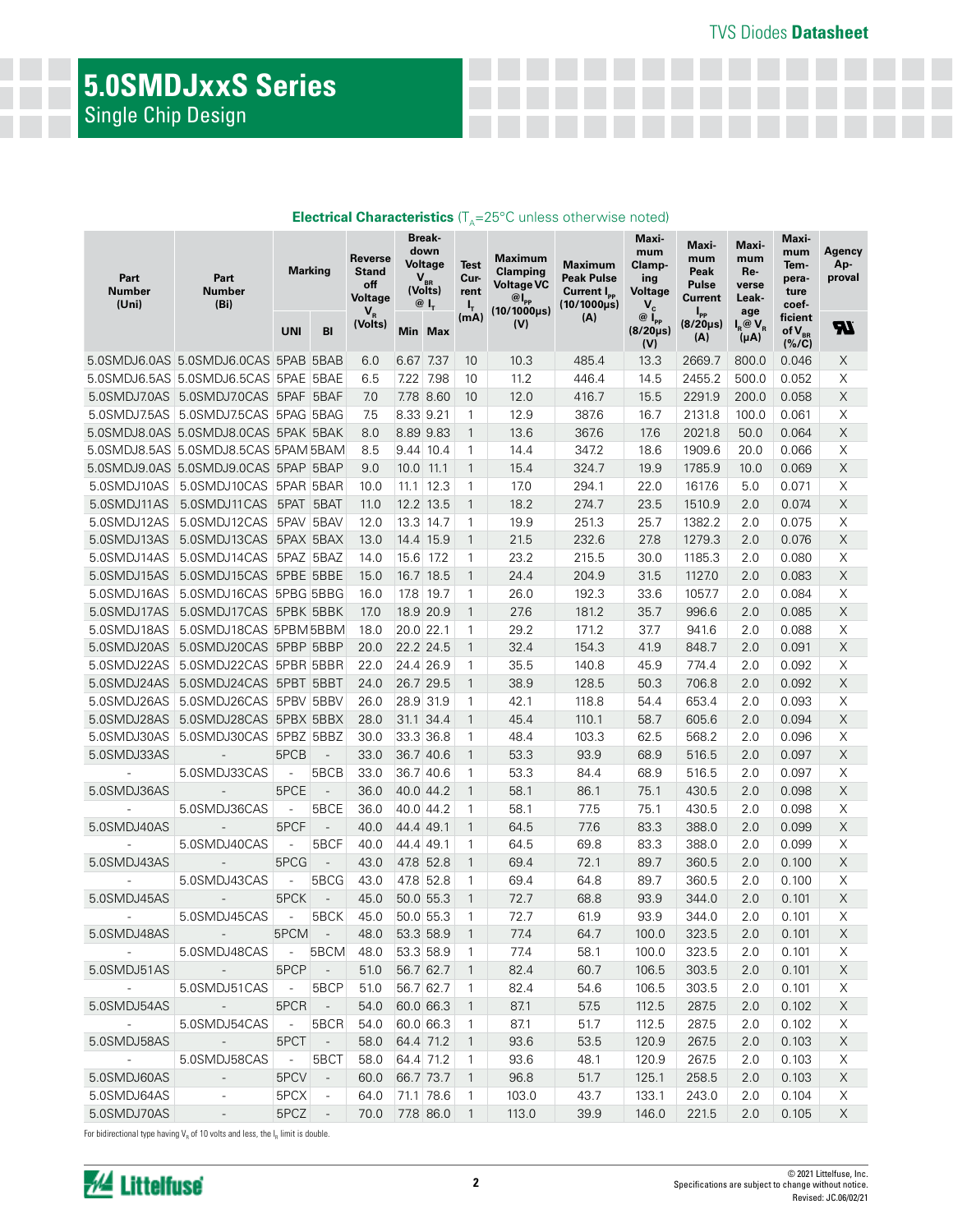# **5.0SMDJxxS Series** Single Chip Design

| Part<br><b>Number</b><br>(Uni) | Part<br>Number<br>(B <sub>i</sub> )  | <b>Marking</b>           |                          | Break-<br>down<br><b>Reverse</b><br>Voltage<br>Stand<br>$V_{BR}$<br>off<br>(Volts)<br>Voltage<br>$@I_{r}$<br>$\mathbf{V}_{\textrm{\tiny R}}$ |             | <b>Test</b><br>Cur-<br>rent<br>ι, | Maximum<br>Clamping<br><b>Voltage VC</b><br>$@I_{\mathsf{pp}}$<br>$(10/1000 \mu s)$ | Maximum<br><b>Peak Pulse</b><br>Current I <sub>PP</sub><br>(10/1000µs) | Maxi-<br>mum<br>Clamp-<br>ing<br><b>Voltage</b><br>$V_c$ | Maxi-<br>mum<br>Peak<br><b>Pulse</b><br><b>Current</b><br>l <sub>pp</sub> | Maxi-<br>mum<br>Re-<br>verse<br>Leak-<br>age | Maxi-<br>mum<br>Tem-<br>pera-<br>ture<br>coef- | Agency<br>Ap-<br>proval           |                           |
|--------------------------------|--------------------------------------|--------------------------|--------------------------|----------------------------------------------------------------------------------------------------------------------------------------------|-------------|-----------------------------------|-------------------------------------------------------------------------------------|------------------------------------------------------------------------|----------------------------------------------------------|---------------------------------------------------------------------------|----------------------------------------------|------------------------------------------------|-----------------------------------|---------------------------|
|                                |                                      | UNI                      | BI                       | (Volts)                                                                                                                                      |             | Min Max                           | (mA)                                                                                | (V)                                                                    | (A)                                                      | $@{\mathsf{I}_{\mathsf{PP}}}$<br>$(8/20 \mu s)$<br>(V)                    | $(8/20 \mu s)$<br>(A)                        | $I_R @ V_R$<br>(μA)                            | ficient<br>of $V_{BR}$<br>(% / C) | <b>RL</b>                 |
|                                | 5.0SMDJ6.0AS 5.0SMDJ6.0CAS 5PAB 5BAB |                          |                          | 6.0                                                                                                                                          | 6.67 7.37   |                                   | 10 <sup>°</sup>                                                                     | 10.3                                                                   | 485.4                                                    | 13.3                                                                      | 2669.7                                       | 800.0                                          | 0.046                             | X                         |
|                                | 5.0SMDJ6.5AS 5.0SMDJ6.5CAS 5PAE 5BAE |                          |                          | 6.5                                                                                                                                          |             | 7.22 7.98                         | 10                                                                                  | 11.2                                                                   | 446.4                                                    | 14.5                                                                      | 2455.2                                       | 500.0                                          | 0.052                             | Χ                         |
|                                | 5.0SMDJ7.0AS 5.0SMDJ7.0CAS 5PAF 5BAF |                          |                          | 7.0                                                                                                                                          |             | 7.78 8.60                         | 10                                                                                  | 12.0                                                                   | 416.7                                                    | 15.5                                                                      | 2291.9                                       | 200.0                                          | 0.058                             | $\times$                  |
|                                | 5.0SMDJ7.5AS 5.0SMDJ7.5CAS 5PAG 5BAG |                          |                          | 7.5                                                                                                                                          | 8.33 9.21   |                                   | 1                                                                                   | 12.9                                                                   | 387.6                                                    | 16.7                                                                      | 2131.8                                       | 100.0                                          | 0.061                             | Χ                         |
|                                | 5.0SMDJ8.0AS 5.0SMDJ8.0CAS 5PAK 5BAK |                          |                          | 8.0                                                                                                                                          |             | 8.89 9.83                         | $\mathbf{1}$                                                                        | 13.6                                                                   | 367.6                                                    | 17.6                                                                      | 2021.8                                       | 50.0                                           | 0.064                             | $\times$                  |
|                                | 5.0SMDJ8.5AS 5.0SMDJ8.5CAS 5PAM 5BAM |                          |                          | 8.5                                                                                                                                          | 9.44 10.4   |                                   | $\mathbf{1}$                                                                        | 14.4                                                                   | 347.2                                                    | 18.6                                                                      | 1909.6                                       | 20.0                                           | 0.066                             | X                         |
|                                | 5.0SMDJ9.0AS 5.0SMDJ9.0CAS 5PAP 5BAP |                          |                          | 9.0                                                                                                                                          | $10.0$ 11.1 |                                   | $\mathbf{1}$                                                                        | 15.4                                                                   | 324.7                                                    | 19.9                                                                      | 1785.9                                       | 10.0                                           | 0.069                             | $\mathsf X$               |
| 5.0SMDJ10AS                    | 5.0SMDJ10CAS 5PAR 5BAR               |                          |                          | 10.0                                                                                                                                         |             | $11.1$ 12.3                       | $\mathbf{1}$                                                                        | 17.0                                                                   | 294.1                                                    | 22.0                                                                      | 1617.6                                       | 5.0                                            | 0.071                             | Χ                         |
| 5.0SMDJ11AS                    | 5.0SMDJ11CAS 5PAT 5BAT               |                          |                          | 11.0                                                                                                                                         |             | 12.2 13.5                         | $\mathbf{1}$                                                                        | 18.2                                                                   | 274.7                                                    | 23.5                                                                      | 1510.9                                       | 2.0                                            | 0.074                             | $\times$                  |
| 5.0SMDJ12AS                    | 5.0SMDJ12CAS 5PAV 5BAV               |                          |                          | 12.0                                                                                                                                         |             | 13.3 14.7                         | $\mathbf{1}$                                                                        | 19.9                                                                   | 251.3                                                    | 25.7                                                                      | 1382.2                                       | 2.0                                            | 0.075                             | X                         |
| 5.0SMDJ13AS                    | 5.0SMDJ13CAS 5PAX 5BAX               |                          |                          | 13.0                                                                                                                                         |             | 14.4 15.9                         | $\mathbf{1}$                                                                        | 21.5                                                                   | 232.6                                                    | 27.8                                                                      | 1279.3                                       | 2.0                                            | 0.076                             | $\mathsf X$               |
| 5.0SMDJ14AS                    | 5.0SMDJ14CAS 5PAZ 5BAZ               |                          |                          | 14.0                                                                                                                                         |             | 15.6 17.2                         | $\mathbf{1}$                                                                        | 23.2                                                                   | 215.5                                                    | 30.0                                                                      | 1185.3                                       | 2.0                                            | 0.080                             | X                         |
| 5.0SMDJ15AS                    | 5.0SMDJ15CAS 5PBE 5BBE               |                          |                          | 15.0                                                                                                                                         |             | 16.7 18.5                         | $\mathbf{1}$                                                                        | 24.4                                                                   | 204.9                                                    | 31.5                                                                      | 1127.0                                       | 2.0                                            | 0.083                             | $\mathsf X$               |
| 5.0SMDJ16AS                    | 5.0SMDJ16CAS 5PBG 5BBG               |                          |                          | 16.0                                                                                                                                         |             | 17.8 19.7                         | 1                                                                                   | 26.0                                                                   | 192.3                                                    | 33.6                                                                      | 1057.7                                       | 2.0                                            | 0.084                             | Χ                         |
| 5.0SMDJ17AS                    | 5.0SMDJ17CAS 5PBK 5BBK               |                          |                          | 17.0                                                                                                                                         |             | 18.9 20.9                         | $\mathbf{1}$                                                                        | 27.6                                                                   | 181.2                                                    | 35.7                                                                      | 996.6                                        | 2.0                                            | 0.085                             | $\times$                  |
| 5.0SMDJ18AS                    | 5.0SMDJ18CAS 5PBM5BBM                |                          |                          | 18.0                                                                                                                                         | 20.0 22.1   |                                   | 1                                                                                   | 29.2                                                                   | 171.2                                                    | 37.7                                                                      | 941.6                                        | 2.0                                            | 0.088                             | X                         |
| 5.0SMDJ20AS                    | 5.0SMDJ20CAS 5PBP 5BBP               |                          |                          | 20.0                                                                                                                                         |             | 22.2 24.5                         | $\mathbf{1}$                                                                        | 32.4                                                                   | 154.3                                                    | 41.9                                                                      | 848.7                                        | 2.0                                            | 0.091                             | $\times$                  |
| 5.0SMDJ22AS                    | 5.0SMDJ22CAS 5PBR 5BBR               |                          |                          | 22.0                                                                                                                                         |             | 24.4 26.9                         | 1                                                                                   | 35.5                                                                   | 140.8                                                    | 45.9                                                                      | 774.4                                        | 2.0                                            | 0.092                             | X                         |
| 5.0SMDJ24AS                    | 5.0SMDJ24CAS 5PBT 5BBT               |                          |                          | 24.0                                                                                                                                         |             | 26.7 29.5                         | $\mathbf{1}$                                                                        | 38.9                                                                   | 128.5                                                    | 50.3                                                                      | 706.8                                        | 2.0                                            | 0.092                             | $\boldsymbol{\mathsf{X}}$ |
| 5.0SMDJ26AS                    | 5.0SMDJ26CAS 5PBV 5BBV               |                          |                          | 26.0                                                                                                                                         | 28.9 31.9   |                                   | 1                                                                                   | 42.1                                                                   | 118.8                                                    | 54.4                                                                      | 653.4                                        | 2.0                                            | 0.093                             | X                         |
| 5.0SMDJ28AS                    | 5.0SMDJ28CAS 5PBX 5BBX               |                          |                          | 28.0                                                                                                                                         |             | 31.1 34.4                         | $\mathbf{1}$                                                                        | 45.4                                                                   | 110.1                                                    | 58.7                                                                      | 605.6                                        | 2.0                                            | 0.094                             | $\times$                  |
| 5.0SMDJ30AS                    | 5.0SMDJ30CAS 5PBZ 5BBZ               |                          |                          | 30.0                                                                                                                                         |             | 33.3 36.8                         | $\mathbf{1}$                                                                        | 48.4                                                                   | 103.3                                                    | 62.5                                                                      | 568.2                                        | 2.0                                            | 0.096                             | X                         |
| 5.0SMDJ33AS                    | $\overline{\phantom{a}}$             | 5PCB                     | $\overline{\phantom{a}}$ | 33.0                                                                                                                                         |             | 36.7 40.6                         | $\mathbf{1}$                                                                        | 53.3                                                                   | 93.9                                                     | 68.9                                                                      | 516.5                                        | 2.0                                            | 0.097                             | $\times$                  |
| $\overline{\phantom{a}}$       | 5.0SMDJ33CAS                         | $\overline{\phantom{a}}$ | 5BCB                     | 33.0                                                                                                                                         |             | 36.7 40.6                         | $\mathbf{1}$                                                                        | 53.3                                                                   | 84.4                                                     | 68.9                                                                      | 516.5                                        | 2.0                                            | 0.097                             | X                         |
| 5.0SMDJ36AS                    | $\blacksquare$                       | 5PCE                     | $\overline{\phantom{a}}$ | 36.0                                                                                                                                         |             | 40.0 44.2                         | $\mathbf{1}$                                                                        | 58.1                                                                   | 86.1                                                     | 75.1                                                                      | 430.5                                        | 2.0                                            | 0.098                             | $\mathsf X$               |
|                                | 5.0SMDJ36CAS                         | $\overline{a}$           | 5BCE                     | 36.0                                                                                                                                         |             | 40.0 44.2                         | 1                                                                                   | 58.1                                                                   | 77.5                                                     | 75.1                                                                      | 430.5                                        | 2.0                                            | 0.098                             | Χ                         |
| 5.0SMDJ40AS                    | $\overline{\phantom{a}}$             | 5PCF                     | $\overline{\phantom{a}}$ | 40.0                                                                                                                                         | 44.4 49.1   |                                   | $\mathbf{1}$                                                                        | 64.5                                                                   | 77.6                                                     | 83.3                                                                      | 388.0                                        | 2.0                                            | 0.099                             | $\times$                  |
|                                | 5.0SMDJ40CAS                         | $\overline{a}$           | 5BCF                     | 40.0                                                                                                                                         | 44.4 49.1   |                                   | 1                                                                                   | 64.5                                                                   | 69.8                                                     | 83.3                                                                      | 388.0                                        | 2.0                                            | 0.099                             | Χ<br>$\times$             |
| 5.0SMDJ43AS                    | 5.0SMDJ43CAS                         | 5PCG                     | $\overline{\phantom{a}}$ | 43.0                                                                                                                                         |             | 47.8 52.8                         | $\mathbf{1}$                                                                        | 69.4                                                                   | 72.1                                                     | 89.7                                                                      | 360.5<br>360.5                               | 2.0                                            | 0.100                             | X                         |
|                                |                                      | $\overline{a}$<br>5PCK   | 5BCG                     | 43.0<br>45.0                                                                                                                                 |             | 47.8 52.8<br>50.0 55.3            | 1<br>$\mathbf{1}$                                                                   | 69.4<br>72.7                                                           | 64.8<br>68.8                                             | 89.7<br>93.9                                                              |                                              | 2.0                                            | 0.100<br>0.101                    | $\mathsf X$               |
| 5.0SMDJ45AS                    | 5.0SMDJ45CAS                         | $\overline{\phantom{a}}$ | 5BCK                     | 45.0                                                                                                                                         |             | 50.0 55.3                         | $\mathbf{1}$                                                                        | 72.7                                                                   | 61.9                                                     | 93.9                                                                      | 344.0<br>344.0                               | 2.0<br>2.0                                     | 0.101                             | $\boldsymbol{\times}$     |
| 5.0SMDJ48AS                    | $-$ 5PCM $-$                         |                          |                          | 48.0 53.3 58.9                                                                                                                               |             |                                   |                                                                                     | 77.4                                                                   | 64.7                                                     | 100.0                                                                     | 323.5                                        | $2.0\,$                                        | 0.101                             | $\mathsf X$               |
| and the state of the           | 5.0SMDJ48CAS - 5BCM 48.0             |                          |                          |                                                                                                                                              |             | 53.3 58.9                         | $\overline{1}$                                                                      | 77.4                                                                   | 58.1                                                     | 100.0                                                                     | 323.5                                        | 2.0                                            | 0.101                             | X                         |
| 5.0SMDJ51AS                    | <b>Contract Contract</b>             | $5PCP$ -                 |                          | 51.0                                                                                                                                         |             | 56.7 62.7                         | $\overline{1}$                                                                      | 82.4                                                                   | 60.7                                                     | 106.5                                                                     | 303.5                                        | 2.0                                            | 0.101                             | X                         |
| $\sim 10^{-10}$ m $^{-1}$      | $5.0$ SMDJ51CAS $\sim$               |                          | 5BCP                     | 51.0                                                                                                                                         |             | 56.7 62.7                         | $\mathbf{1}$                                                                        | 82.4                                                                   | 54.6                                                     | 106.5                                                                     | 303.5                                        | 2.0                                            | 0.101                             | Χ                         |
| 5.0SMDJ54AS                    | <b>Contractor</b>                    | $5PCR$ -                 |                          | 54.0                                                                                                                                         |             | 60.0 66.3                         | $\overline{1}$                                                                      | 87.1                                                                   | 57.5                                                     | 112.5                                                                     | 287.5                                        | 2.0                                            | 0.102                             | X                         |
| <b>Contractor</b>              | $5.0$ SMDJ54CAS -                    |                          | 5BCR                     | 54.0                                                                                                                                         |             | 60.0 66.3                         | $\mathbf{1}$                                                                        | 87.1                                                                   | 51.7                                                     | 112.5                                                                     | 287.5                                        | 2.0                                            | 0.102                             | Χ                         |
| 5.0SMDJ58AS                    | $\sim 100$ km s $^{-1}$              | 5PCT                     | $\sim$ $\sim$            | 58.0                                                                                                                                         |             | 64.4 71.2                         | $\mathbf{1}$                                                                        | 93.6                                                                   | 53.5                                                     | 120.9                                                                     | 267.5                                        | 2.0                                            | 0.103                             | X                         |
| $\omega_{\rm{max}}$            | 5.0SMDJ58CAS -                       |                          | 5BCT                     | 58.0                                                                                                                                         |             | 64.4 71.2                         | $\mathbf{1}$                                                                        | 93.6                                                                   | 48.1                                                     | 120.9                                                                     | 267.5                                        | 2.0                                            | 0.103                             | X                         |
| 5.0SMDJ60AS                    | $\sim$                               | 5PCV                     | $\sim$ $-$               | 60.0                                                                                                                                         |             | 66.7 73.7                         | $\overline{1}$                                                                      | 96.8                                                                   | 51.7                                                     | 125.1                                                                     | 258.5                                        | 2.0                                            | 0.103                             | X                         |
| 5.0SMDJ64AS                    | $\sim$                               | 5PCX                     | $\overline{\phantom{a}}$ | 64.0                                                                                                                                         |             | 71.1 78.6                         | $\mathbf{1}$                                                                        | 103.0                                                                  | 43.7                                                     | 133.1                                                                     | 243.0                                        | 2.0                                            | 0.104                             | Χ                         |
| 5.0SMDJ70AS                    | $\sim$                               | 5PCZ                     | $\overline{\phantom{a}}$ | 70.0                                                                                                                                         |             | 77.8 86.0                         | $\overline{1}$                                                                      | 113.0                                                                  | 39.9                                                     | 146.0                                                                     | 221.5                                        | 2.0                                            | 0.105                             | $\mathsf X$               |
|                                |                                      |                          |                          |                                                                                                                                              |             |                                   |                                                                                     |                                                                        |                                                          |                                                                           |                                              |                                                |                                   |                           |

### **Electrical Characteristics** (T<sub>A</sub>=25°C unless otherwise noted)

For bidirectional type having V<sub>R</sub> of 10 volts and less, the I<sub>R</sub> limit is double.

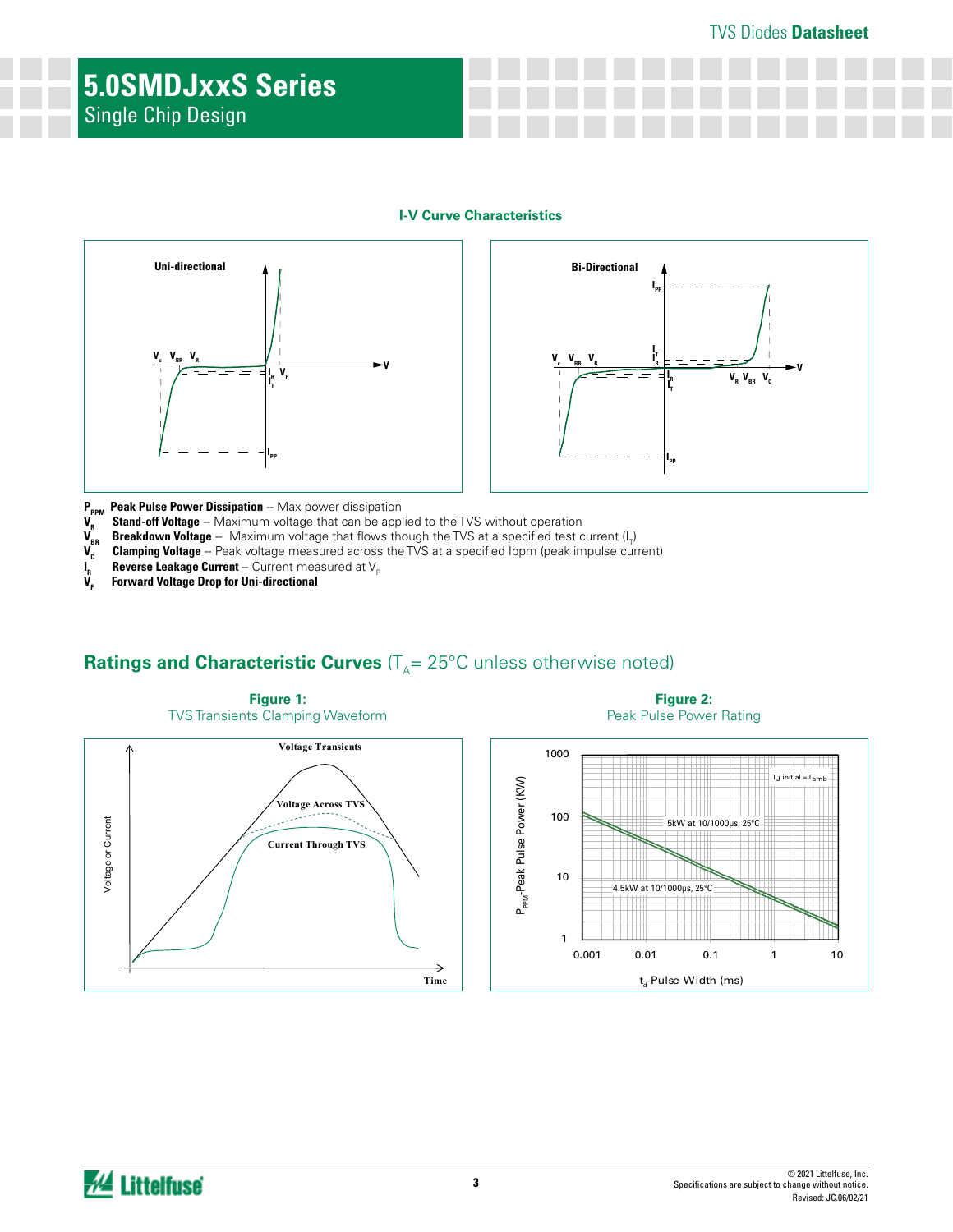#### TVS Diodes **Datasheet**

# **5.0SMDJxxS Series** Single Chip Design

#### **I-V Curve Characteristics**





- 
- **P<sub>PPM</sub> Peak Pulse Power Dissipation** Max power dissipation<br>V<sub>B</sub> Stand-off Voltage Maximum voltage that can be appl
- **V<sub>R</sub>** Stand-off Voltage -- Maximum voltage that can be applied to the TVS without operation  $V_{\text{BR}}$  Breakdown Voltage -- Maximum voltage that flows though the TVS at a specified test c  $\bm V_{_{\sf BR}}$  **Breakdown Voltage** -- Maximum voltage that flows though the TVS at a specified test current (I<sub>T</sub>)
- $V_c^{\prime\prime}$  **Clamping Voltage** -- Peak voltage measured across the TVS at a specified Ippm (peak impulse current)
- $\int_{\mathbf{r}}^{\mathbf{r}}$ **Reverse Leakage Current** -- Current measured at V<sub>p</sub>
- **Forward Voltage Drop for Uni-directional**

# **Ratings and Characteristic Curves** ( $T_A$ = 25°C unless otherwise noted)



**Figure 2:**  Peak Pulse Power Rating

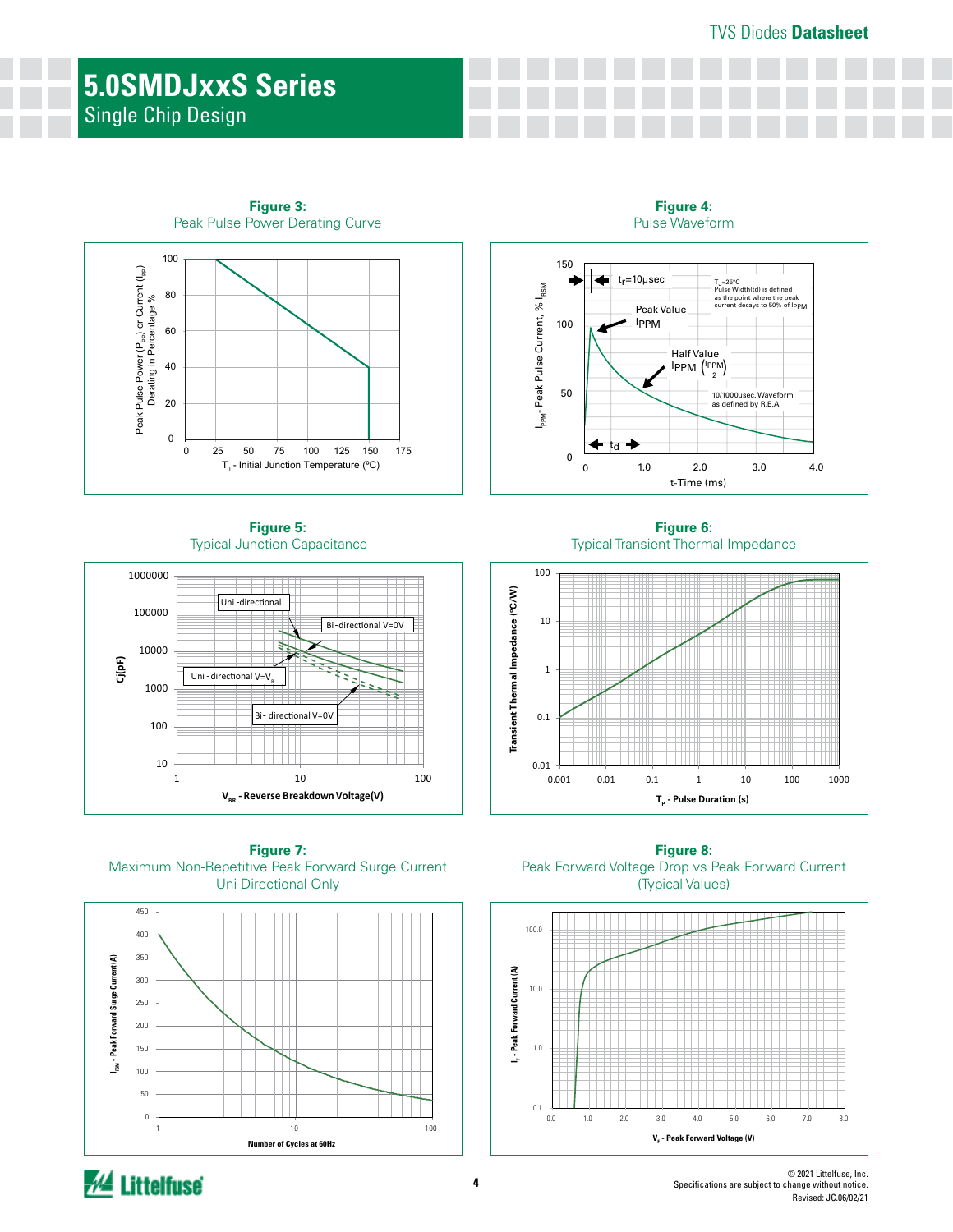# **5.0SMDJxxS Series** Single Chip Design



**Figure 3:** 

**Figure 5:** Typical Junction Capacitance



**Figure 7:** Maximum Non-Repetitive Peak Forward Surge Current Uni-Directional Only



**Figure 8:** Peak Forward Voltage Drop vs Peak Forward Current (Typical Values)



**Figure 6:** Typical Transient Thermal Impedance

t-Time (ms)

 $1$ PPM  $\left(\frac{1_{PPM}}{2}\right)$ 

Half Value

**Figure 4:** Pulse Waveform

1.0 2.0 3.0 4.0

10/1000µsec. Waveform as defined by R.E.A

TJ=25°C Pulse Width(td) is defined as the point where the peak current decays to 50% of IPPM

I<sub>PPM</sub>- Peak Pulse Current, % I<sub>RSM</sub>

<sub>PPM</sub>-Peak Pulse Current, % I<sub>RSM</sub>

50

100

150

tr=10µsec

Peak Value IPPM

0 0

td

÷

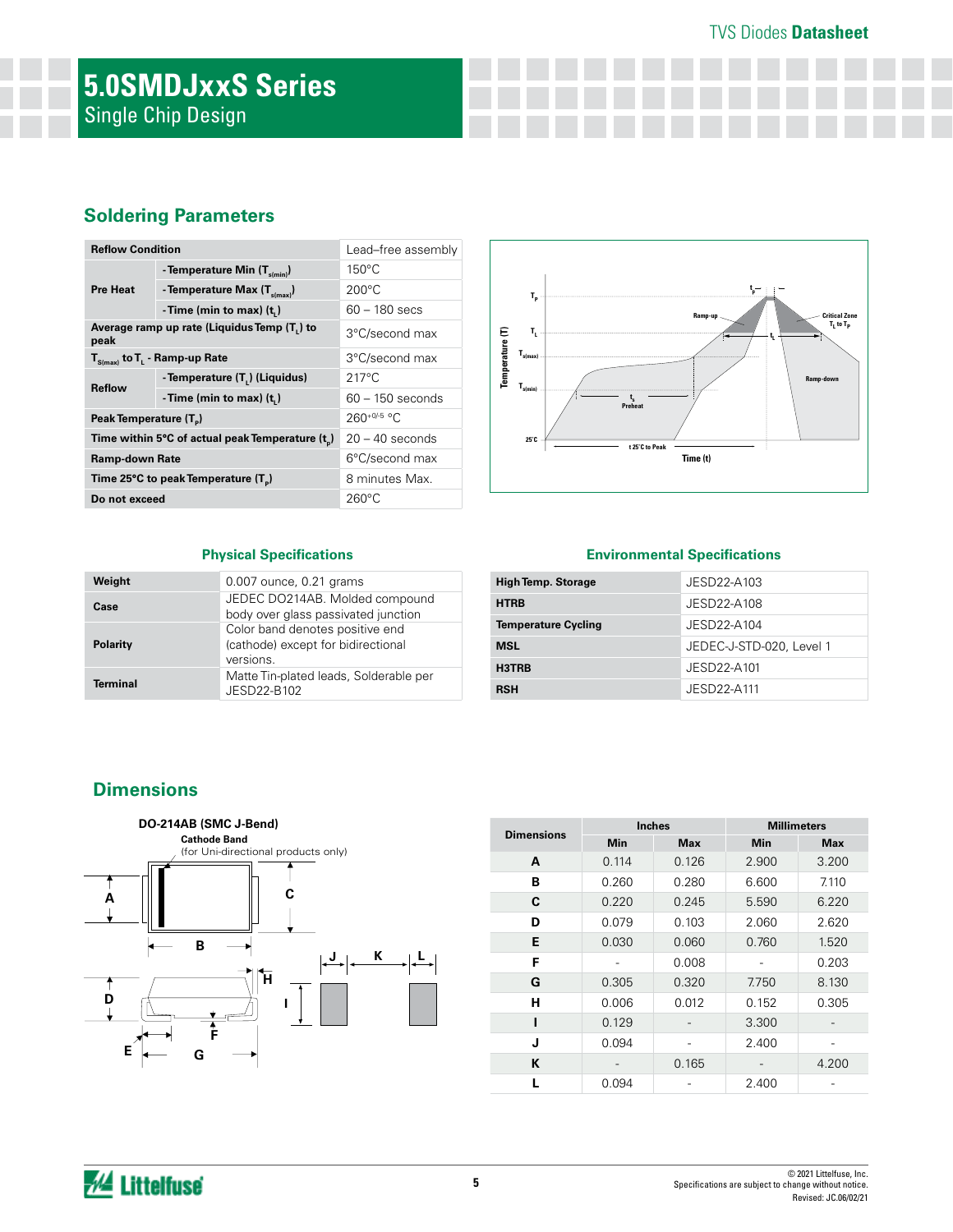### TVS Diodes **Datasheet**

# **5.0SMDJxxS Series** Single Chip Design

## **Soldering Parameters**

| <b>Reflow Condition</b>            |                                                 | Lead-free assembly |  |  |
|------------------------------------|-------------------------------------------------|--------------------|--|--|
|                                    | - Temperature Min $(T_{s(\text{min})})$         | $150^{\circ}$ C    |  |  |
| <b>Pre Heat</b>                    | - Temperature Max $(T_{\text{sum}})$            | $200^{\circ}$ C    |  |  |
|                                    | - Time (min to max) $(ti)$                      | $60 - 180$ secs    |  |  |
| peak                               | Average ramp up rate (Liquidus Temp (T,) to     | 3°C/second max     |  |  |
|                                    | $T_{S(max)}$ to $T_{L}$ - Ramp-up Rate          | 3°C/second max     |  |  |
| <b>Reflow</b>                      | - Temperature $(T_L)$ (Liquidus)                | $217^{\circ}$ C    |  |  |
|                                    | -Time (min to max) $(ti)$                       | $60 - 150$ seconds |  |  |
| Peak Temperature (T <sub>a</sub> ) |                                                 | $260^{+0/5}$ °C    |  |  |
|                                    | Time within 5°C of actual peak Temperature (t)  | $20 - 40$ seconds  |  |  |
| Ramp-down Rate                     |                                                 | 6°C/second max     |  |  |
|                                    | Time 25°C to peak Temperature (T <sub>a</sub> ) | 8 minutes Max.     |  |  |
| Do not exceed                      |                                                 | $260^{\circ}$ C    |  |  |



#### **Physical Specifications**

| Weight          | 0.007 ounce, 0.21 grams                                                            |
|-----------------|------------------------------------------------------------------------------------|
| Case            | JEDEC DO214AB. Molded compound<br>body over glass passivated junction              |
| Polarity        | Color band denotes positive end<br>(cathode) except for bidirectional<br>versions. |
| <b>Terminal</b> | Matte Tin-plated leads, Solderable per<br>JESD22-B102                              |

#### **Environmental Specifications**

| <b>High Temp. Storage</b>  | JESD22-A103              |
|----------------------------|--------------------------|
| <b>HTRB</b>                | JESD22-A108              |
| <b>Temperature Cycling</b> | JESD22-A104              |
| <b>MSL</b>                 | JEDEC-J-STD-020, Level 1 |
| H3TRB                      | JESD22-A101              |
| <b>RSH</b>                 | JESD22-A111              |

## **Dimensions**



| <b>Dimensions</b> | <b>Inches</b> |            | <b>Millimeters</b> |            |  |  |
|-------------------|---------------|------------|--------------------|------------|--|--|
|                   | <b>Min</b>    | <b>Max</b> | Min                | <b>Max</b> |  |  |
| A                 | 0.114         | 0.126      | 2.900              | 3.200      |  |  |
| в                 | 0.260         | 0.280      | 6.600              | 7.110      |  |  |
| C                 | 0.220         | 0.245      | 5.590              | 6.220      |  |  |
| D                 | 0.079         | 0.103      | 2.060              | 2.620      |  |  |
| Е                 | 0.030         | 0.060      | 0.760              | 1.520      |  |  |
| F                 |               | 0.008      |                    | 0.203      |  |  |
| G                 | 0.305         | 0.320      | 7.750              | 8.130      |  |  |
| н                 | 0.006         | 0.012      | 0.152              | 0.305      |  |  |
|                   | 0.129         |            | 3.300              |            |  |  |
| J                 | 0.094         |            | 2.400              |            |  |  |
| K                 |               | 0.165      |                    | 4.200      |  |  |
|                   | 0.094         |            | 2.400              |            |  |  |